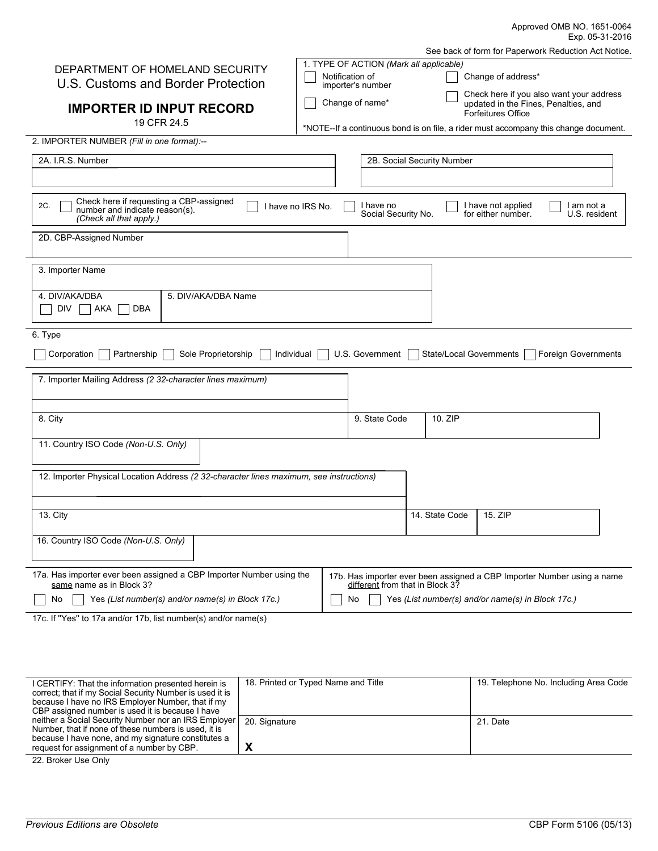|                                                                                                             |                                                      |                                         |                                                                                      |                                                            | Approved OMB NO. 1651-0064<br>Exp. 05-31-2016                           |  |  |
|-------------------------------------------------------------------------------------------------------------|------------------------------------------------------|-----------------------------------------|--------------------------------------------------------------------------------------|------------------------------------------------------------|-------------------------------------------------------------------------|--|--|
|                                                                                                             | See back of form for Paperwork Reduction Act Notice. |                                         |                                                                                      |                                                            |                                                                         |  |  |
|                                                                                                             |                                                      | 1. TYPE OF ACTION (Mark all applicable) |                                                                                      |                                                            |                                                                         |  |  |
| DEPARTMENT OF HOMELAND SECURITY<br>U.S. Customs and Border Protection                                       | Notification of<br>importer's number                 |                                         |                                                                                      | Change of address*                                         |                                                                         |  |  |
| <b>IMPORTER ID INPUT RECORD</b>                                                                             | Change of name*                                      |                                         |                                                                                      | updated in the Fines, Penalties, and<br>Forfeitures Office | Check here if you also want your address                                |  |  |
| 19 CFR 24.5                                                                                                 |                                                      |                                         | *NOTE--If a continuous bond is on file, a rider must accompany this change document. |                                                            |                                                                         |  |  |
| 2. IMPORTER NUMBER (Fill in one format):--                                                                  |                                                      |                                         |                                                                                      |                                                            |                                                                         |  |  |
| 2A. I.R.S. Number                                                                                           |                                                      |                                         | 2B. Social Security Number                                                           |                                                            |                                                                         |  |  |
|                                                                                                             |                                                      |                                         |                                                                                      |                                                            |                                                                         |  |  |
| Check here if requesting a CBP-assigned<br>2C.<br>number and indicate reason(s).<br>(Check all that apply.) | I have no IRS No.                                    | I have no<br>Social Security No.        |                                                                                      | I have not applied<br>for either number.                   | I am not a<br>U.S. resident                                             |  |  |
| 2D. CBP-Assigned Number                                                                                     |                                                      |                                         |                                                                                      |                                                            |                                                                         |  |  |
| 3. Importer Name                                                                                            |                                                      |                                         |                                                                                      |                                                            |                                                                         |  |  |
| 4. DIV/AKA/DBA<br>5. DIV/AKA/DBA Name<br>DIV<br>AKA<br>DBA                                                  |                                                      |                                         |                                                                                      |                                                            |                                                                         |  |  |
| 6. Type<br>Sole Proprietorship<br>Corporation<br>Partnership                                                | Individual                                           | U.S. Government                         | State/Local Governments                                                              |                                                            | <b>Foreign Governments</b>                                              |  |  |
| 7. Importer Mailing Address (2 32-character lines maximum)                                                  |                                                      |                                         |                                                                                      |                                                            |                                                                         |  |  |
|                                                                                                             |                                                      |                                         |                                                                                      |                                                            |                                                                         |  |  |
|                                                                                                             |                                                      |                                         |                                                                                      |                                                            |                                                                         |  |  |
| 8. City                                                                                                     |                                                      | 9. State Code                           | 10. ZIP                                                                              |                                                            |                                                                         |  |  |
| 11. Country ISO Code (Non-U.S. Only)                                                                        |                                                      |                                         |                                                                                      |                                                            |                                                                         |  |  |
|                                                                                                             |                                                      |                                         |                                                                                      |                                                            |                                                                         |  |  |
| 12. Importer Physical Location Address (2 32-character lines maximum, see instructions)                     |                                                      |                                         |                                                                                      |                                                            |                                                                         |  |  |
|                                                                                                             |                                                      |                                         |                                                                                      |                                                            |                                                                         |  |  |
| 13. City                                                                                                    |                                                      |                                         | 14. State Code                                                                       | 15. ZIP                                                    |                                                                         |  |  |
| 16. Country ISO Code (Non-U.S. Only)                                                                        |                                                      |                                         |                                                                                      |                                                            |                                                                         |  |  |
| 17a. Has importer ever been assigned a CBP Importer Number using the<br>same name as in Block 3?            |                                                      | different from that in Block 3?         |                                                                                      |                                                            | 17b. Has importer ever been assigned a CBP Importer Number using a name |  |  |
| Yes (List number(s) and/or name(s) in Block 17c.)<br>No                                                     |                                                      | No                                      | Yes (List number(s) and/or name(s) in Block 17c.)                                    |                                                            |                                                                         |  |  |
| 17c. If "Yes" to 17a and/or 17b, list number(s) and/or name(s)                                              |                                                      |                                         |                                                                                      |                                                            |                                                                         |  |  |

| I CERTIFY: That the information presented herein is      | 18. Printed or Typed Name and Title | 19. Telephone No. Including Area Code |
|----------------------------------------------------------|-------------------------------------|---------------------------------------|
| correct; that if my Social Security Number is used it is |                                     |                                       |
| because I have no IRS Employer Number, that if my        |                                     |                                       |
| CBP assigned number is used it is because I have         |                                     |                                       |
| neither a Social Security Number nor an IRS Employer     | 20. Signature                       | 21. Date                              |
| Number, that if none of these numbers is used, it is     |                                     |                                       |
| because I have none, and my signature constitutes a      |                                     |                                       |
| request for assignment of a number by CBP.               |                                     |                                       |

22. Broker Use Only